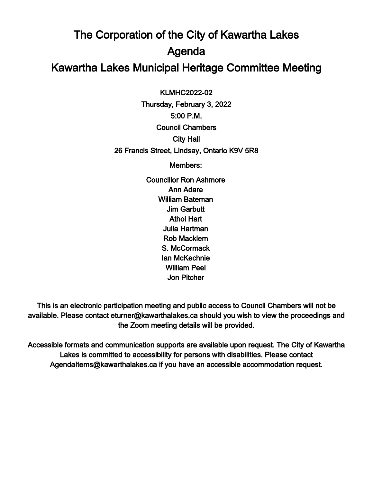## The Corporation of the City of Kawartha Lakes Agenda Kawartha Lakes Municipal Heritage Committee Meeting

 $\overline{a}$ KLMHC2022-02

Thursday, February 3, 2022 5:00 P.M. Council Chambers City Hall 26 Francis Street, Lindsay, Ontario K9V 5R8

Members:

Councillor Ron Ashmore Ann Adare William Bateman Jim Garbutt Athol Hart Julia Hartman Rob Macklem S. McCormack Ian McKechnie William Peel Jon Pitcher

This is an electronic participation meeting and public access to Council Chambers will not be available. Please contact eturner@kawarthalakes.ca should you wish to view the proceedings and the Zoom meeting details will be provided.

Accessible formats and communication supports are available upon request. The City of Kawartha Lakes is committed to accessibility for persons with disabilities. Please contact AgendaItems@kawarthalakes.ca if you have an accessible accommodation request.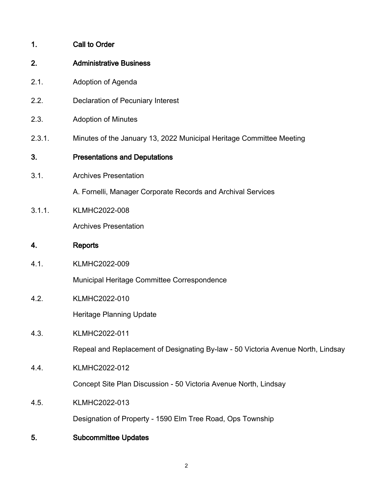- 2. Administrative Business
- 2.1. Adoption of Agenda
- 2.2. Declaration of Pecuniary Interest
- 2.3. Adoption of Minutes
- 2.3.1. Minutes of the January 13, 2022 Municipal Heritage Committee Meeting

## 3. Presentations and Deputations

3.1. Archives Presentation

A. Fornelli, Manager Corporate Records and Archival Services

3.1.1. KLMHC2022-008

Archives Presentation

## 4. Reports

4.1. KLMHC2022-009

Municipal Heritage Committee Correspondence

4.2. KLMHC2022-010

Heritage Planning Update

4.3. KLMHC2022-011

Repeal and Replacement of Designating By-law - 50 Victoria Avenue North, Lindsay

4.4. KLMHC2022-012

Concept Site Plan Discussion - 50 Victoria Avenue North, Lindsay

4.5. KLMHC2022-013

Designation of Property - 1590 Elm Tree Road, Ops Township

5. Subcommittee Updates